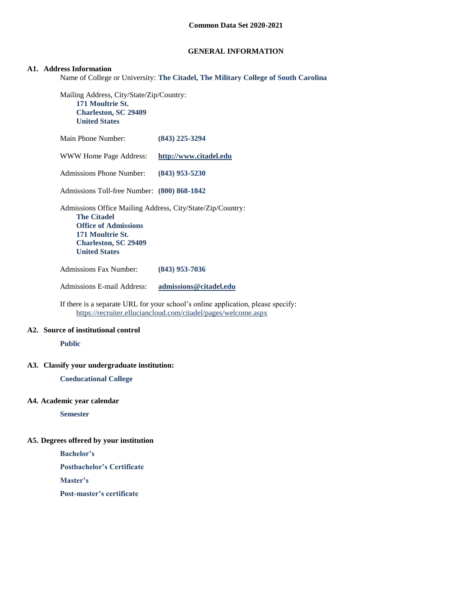## **GENERAL INFORMATION**

#### **A1. Address Information**

Name of College or University: **The Citadel, The Military College of South Carolina**

Mailing Address, City/State/Zip/Country: **171 Moultrie St. Charleston, SC 29409 United States**

| Main Phone Number:                                                                                                                                                                         | $(843)$ 225-3294       |
|--------------------------------------------------------------------------------------------------------------------------------------------------------------------------------------------|------------------------|
| WWW Home Page Address:                                                                                                                                                                     | http://www.citadel.edu |
| Admissions Phone Number:                                                                                                                                                                   | $(843)$ 953-5230       |
| Admissions Toll-free Number: (800) 868-1842                                                                                                                                                |                        |
| Admissions Office Mailing Address, City/State/Zip/Country:<br><b>The Citadel</b><br><b>Office of Admissions</b><br>171 Moultrie St.<br><b>Charleston, SC 29409</b><br><b>United States</b> |                        |
| <b>Admissions Fax Number:</b>                                                                                                                                                              | (843) 953-7036         |

Admissions E-mail Address: **[admissions@citadel.edu](mailto:admissions@citadel.edu)**

If there is a separate URL for your school's online application, please specify: <https://recruiter.elluciancloud.com/citadel/pages/welcome.aspx>

## **A2. Source of institutional control**

**Public**

#### **A3. Classify your undergraduate institution:**

**Coeducational College**

## **A4. Academic year calendar**

**Semester**

## **A5. Degrees offered by your institution**

**Bachelor's**

**Postbachelor's Certificate**

**Master's**

**Post-master's certificate**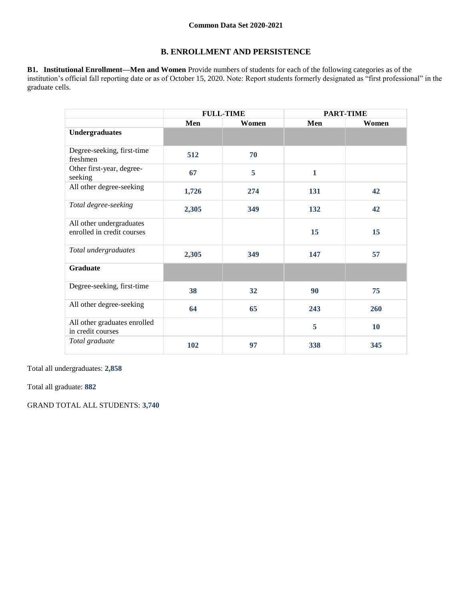## **B. ENROLLMENT AND PERSISTENCE**

**B1. Institutional Enrollment—Men and Women** Provide numbers of students for each of the following categories as of the institution's official fall reporting date or as of October 15, 2020. Note: Report students formerly designated as "first professional" in the graduate cells.

|                                                        | <b>FULL-TIME</b> |       | <b>PART-TIME</b> |       |
|--------------------------------------------------------|------------------|-------|------------------|-------|
|                                                        | Men              | Women | Men              | Women |
| <b>Undergraduates</b>                                  |                  |       |                  |       |
| Degree-seeking, first-time<br>freshmen                 | 512              | 70    |                  |       |
| Other first-year, degree-<br>seeking                   | 67               | 5     | $\mathbf{1}$     |       |
| All other degree-seeking                               | 1,726            | 274   | 131              | 42    |
| Total degree-seeking                                   | 2,305            | 349   | 132              | 42    |
| All other undergraduates<br>enrolled in credit courses |                  |       | 15               | 15    |
| Total undergraduates                                   | 2,305            | 349   | 147              | 57    |
| <b>Graduate</b>                                        |                  |       |                  |       |
| Degree-seeking, first-time                             | 38               | 32    | 90               | 75    |
| All other degree-seeking                               | 64               | 65    | 243              | 260   |
| All other graduates enrolled<br>in credit courses      |                  |       | 5                | 10    |
| Total graduate                                         | 102              | 97    | 338              | 345   |

Total all undergraduates: **2,858**

Total all graduate: **882**

GRAND TOTAL ALL STUDENTS: **3,740**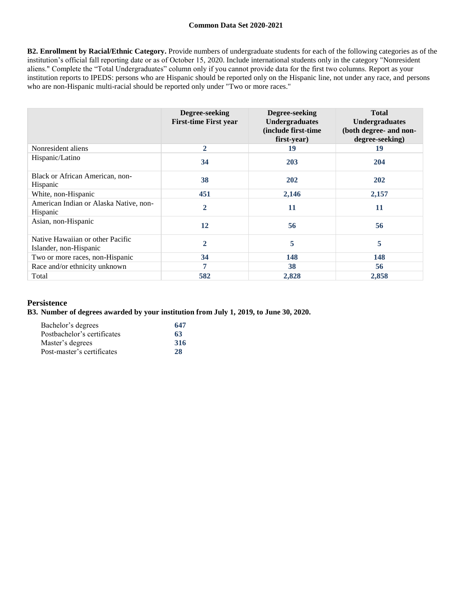**B2. Enrollment by Racial/Ethnic Category.** Provide numbers of undergraduate students for each of the following categories as of the institution's official fall reporting date or as of October 15, 2020. Include international students only in the category "Nonresident aliens." Complete the "Total Undergraduates" column only if you cannot provide data for the first two columns. Report as your institution reports to IPEDS: persons who are Hispanic should be reported only on the Hispanic line, not under any race, and persons who are non-Hispanic multi-racial should be reported only under "Two or more races."

|                                                            | Degree-seeking<br><b>First-time First year</b> | Degree-seeking<br><b>Undergraduates</b><br>(include first-time<br>first-year) | <b>Total</b><br><b>Undergraduates</b><br>(both degree- and non-<br>degree-seeking) |
|------------------------------------------------------------|------------------------------------------------|-------------------------------------------------------------------------------|------------------------------------------------------------------------------------|
| Nonresident aliens                                         | $\overline{2}$                                 | 19                                                                            | 19                                                                                 |
| Hispanic/Latino                                            | 34                                             | 203                                                                           | 204                                                                                |
| Black or African American, non-<br>Hispanic                | 38                                             | 202                                                                           | 202                                                                                |
| White, non-Hispanic                                        | 451                                            | 2,146                                                                         | 2,157                                                                              |
| American Indian or Alaska Native, non-<br><b>Hispanic</b>  | $\overline{2}$                                 | 11                                                                            | 11                                                                                 |
| Asian, non-Hispanic                                        | 12                                             | 56                                                                            | 56                                                                                 |
| Native Hawaiian or other Pacific<br>Islander, non-Hispanic | $\overline{2}$                                 | 5                                                                             | 5                                                                                  |
| Two or more races, non-Hispanic                            | 34                                             | 148                                                                           | 148                                                                                |
| Race and/or ethnicity unknown                              | 7                                              | 38                                                                            | 56                                                                                 |
| Total                                                      | 582                                            | 2,828                                                                         | 2,858                                                                              |

## **Persistence**

## **B3. Number of degrees awarded by your institution from July 1, 2019, to June 30, 2020.**

| Bachelor's degrees          | 647 |
|-----------------------------|-----|
| Postbachelor's certificates | 63  |
| Master's degrees            | 316 |
| Post-master's certificates  | 28  |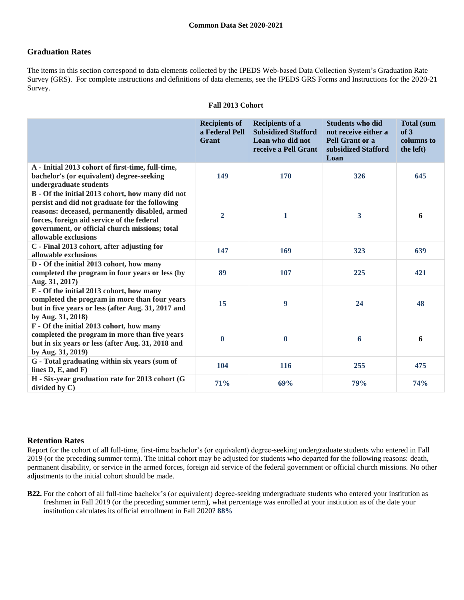## **Graduation Rates**

The items in this section correspond to data elements collected by the IPEDS Web-based Data Collection System's Graduation Rate Survey (GRS). For complete instructions and definitions of data elements, see the IPEDS GRS Forms and Instructions for the 2020-21 Survey.

|                                                                                                                                                                                                                                                                              | <b>Recipients of</b><br>a Federal Pell<br>Grant | <b>Recipients of a</b><br><b>Subsidized Stafford</b><br>Loan who did not<br>receive a Pell Grant | <b>Students who did</b><br>not receive either a<br>Pell Grant or a<br>subsidized Stafford<br>Loan | <b>Total (sum</b><br>of 3<br>columns to<br>the left) |
|------------------------------------------------------------------------------------------------------------------------------------------------------------------------------------------------------------------------------------------------------------------------------|-------------------------------------------------|--------------------------------------------------------------------------------------------------|---------------------------------------------------------------------------------------------------|------------------------------------------------------|
| A - Initial 2013 cohort of first-time, full-time,<br>bachelor's (or equivalent) degree-seeking<br>undergraduate students                                                                                                                                                     | 149                                             | 170                                                                                              | 326                                                                                               | 645                                                  |
| B - Of the initial 2013 cohort, how many did not<br>persist and did not graduate for the following<br>reasons: deceased, permanently disabled, armed<br>forces, foreign aid service of the federal<br>government, or official church missions; total<br>allowable exclusions | $\overline{2}$                                  | 1                                                                                                | 3                                                                                                 | 6                                                    |
| C - Final 2013 cohort, after adjusting for<br>allowable exclusions                                                                                                                                                                                                           | 147                                             | 169                                                                                              | 323                                                                                               | 639                                                  |
| D - Of the initial 2013 cohort, how many<br>completed the program in four years or less (by<br>Aug. 31, 2017)                                                                                                                                                                | 89                                              | 107                                                                                              | 225                                                                                               | 421                                                  |
| E - Of the initial 2013 cohort, how many<br>completed the program in more than four years<br>but in five years or less (after Aug. 31, 2017 and<br>by Aug. 31, 2018)                                                                                                         | 15                                              | 9                                                                                                | 24                                                                                                | 48                                                   |
| F - Of the initial 2013 cohort, how many<br>completed the program in more than five years<br>but in six years or less (after Aug. 31, 2018 and<br>by Aug. 31, 2019)                                                                                                          | $\mathbf{0}$                                    | $\bf{0}$                                                                                         | 6                                                                                                 | 6                                                    |
| G - Total graduating within six years (sum of<br>lines $D, E, and F$                                                                                                                                                                                                         | 104                                             | 116                                                                                              | 255                                                                                               | 475                                                  |
| H - Six-year graduation rate for 2013 cohort (G<br>divided by $C$ )                                                                                                                                                                                                          | 71%                                             | 69%                                                                                              | 79%                                                                                               | 74%                                                  |

#### **Fall 2013 Cohort**

## **Retention Rates**

Report for the cohort of all full-time, first-time bachelor's (or equivalent) degree-seeking undergraduate students who entered in Fall 2019 (or the preceding summer term). The initial cohort may be adjusted for students who departed for the following reasons: death, permanent disability, or service in the armed forces, foreign aid service of the federal government or official church missions. No other adjustments to the initial cohort should be made.

**B22.** For the cohort of all full-time bachelor's (or equivalent) degree-seeking undergraduate students who entered your institution as freshmen in Fall 2019 (or the preceding summer term), what percentage was enrolled at your institution as of the date your institution calculates its official enrollment in Fall 2020? **88%**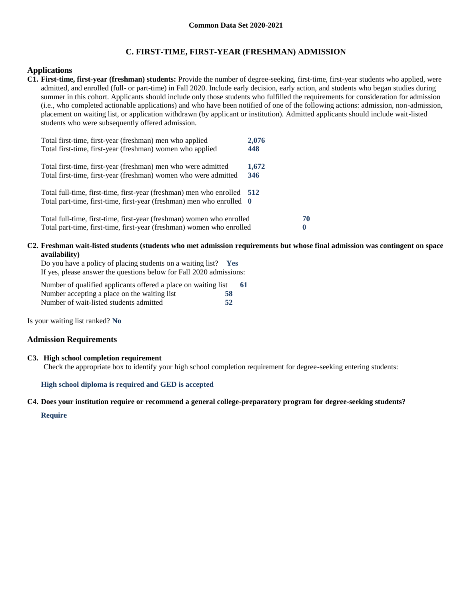## **C. FIRST-TIME, FIRST-YEAR (FRESHMAN) ADMISSION**

#### **Applications**

**C1. First-time, first-year (freshman) students:** Provide the number of degree-seeking, first-time, first-year students who applied, were admitted, and enrolled (full- or part-time) in Fall 2020. Include early decision, early action, and students who began studies during summer in this cohort. Applicants should include only those students who fulfilled the requirements for consideration for admission (i.e., who completed actionable applications) and who have been notified of one of the following actions: admission, non-admission, placement on waiting list, or application withdrawn (by applicant or institution). Admitted applicants should include wait-listed students who were subsequently offered admission.

| Total first-time, first-year (freshman) men who applied<br>Total first-time, first-year (freshman) women who applied                             | 2,076<br>448 |         |
|--------------------------------------------------------------------------------------------------------------------------------------------------|--------------|---------|
| Total first-time, first-year (freshman) men who were admitted<br>Total first-time, first-year (freshman) women who were admitted                 | 1,672<br>346 |         |
| Total full-time, first-time, first-year (freshman) men who enrolled 512<br>Total part-time, first-time, first-year (freshman) men who enrolled 0 |              |         |
| Total full-time, first-time, first-year (freshman) women who enrolled<br>Total part-time, first-time, first-year (freshman) women who enrolled   |              | 70<br>0 |

#### **C2. Freshman wait-listed students (students who met admission requirements but whose final admission was contingent on space availability)**

Do you have a policy of placing students on a waiting list? **Yes** If yes, please answer the questions below for Fall 2020 admissions:

Number of qualified applicants offered a place on waiting list **61** Number accepting a place on the waiting list **58** Number of wait-listed students admitted **52**

Is your waiting list ranked? **No**

#### **Admission Requirements**

#### **C3. High school completion requirement**

Check the appropriate box to identify your high school completion requirement for degree-seeking entering students:

#### **High school diploma is required and GED is accepted**

#### **C4. Does your institution require or recommend a general college-preparatory program for degree-seeking students?**

#### **Require**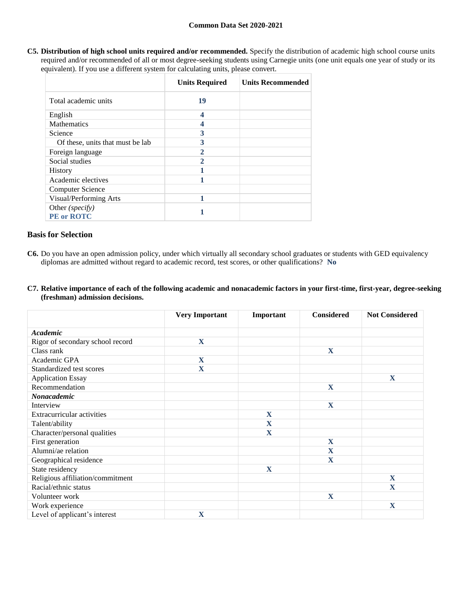**C5. Distribution of high school units required and/or recommended.** Specify the distribution of academic high school course units required and/or recommended of all or most degree-seeking students using Carnegie units (one unit equals one year of study or its equivalent). If you use a different system for calculating units, please convert.

|                                      | <b>Units Required</b> | <b>Units Recommended</b> |
|--------------------------------------|-----------------------|--------------------------|
| Total academic units                 | 19                    |                          |
| English                              | 4                     |                          |
| <b>Mathematics</b>                   |                       |                          |
| Science                              | 3                     |                          |
| Of these, units that must be lab     | 3                     |                          |
| Foreign language                     | 2                     |                          |
| Social studies                       | $\mathcal{P}$         |                          |
| <b>History</b>                       |                       |                          |
| Academic electives                   |                       |                          |
| <b>Computer Science</b>              |                       |                          |
| Visual/Performing Arts               | 1                     |                          |
| Other (specify)<br><b>PE</b> or ROTC |                       |                          |

## **Basis for Selection**

- **C6.** Do you have an open admission policy, under which virtually all secondary school graduates or students with GED equivalency diplomas are admitted without regard to academic record, test scores, or other qualifications? **No**
- **C7. Relative importance of each of the following academic and nonacademic factors in your first-time, first-year, degree-seeking (freshman) admission decisions.**

|                                   | <b>Very Important</b> | Important   | <b>Considered</b> | <b>Not Considered</b> |
|-----------------------------------|-----------------------|-------------|-------------------|-----------------------|
| Academic                          |                       |             |                   |                       |
| Rigor of secondary school record  | X                     |             |                   |                       |
| Class rank                        |                       |             | $\mathbf X$       |                       |
| Academic GPA                      | X                     |             |                   |                       |
| Standardized test scores          | $\mathbf X$           |             |                   |                       |
| <b>Application Essay</b>          |                       |             |                   | $\mathbf X$           |
| Recommendation                    |                       |             | $\mathbf X$       |                       |
| Nonacademic                       |                       |             |                   |                       |
| Interview                         |                       |             | $\mathbf X$       |                       |
| <b>Extracurricular activities</b> |                       | X           |                   |                       |
| Talent/ability                    |                       | $\mathbf X$ |                   |                       |
| Character/personal qualities      |                       | X           |                   |                       |
| First generation                  |                       |             | $\mathbf{X}$      |                       |
| Alumni/ae relation                |                       |             | $\mathbf{X}$      |                       |
| Geographical residence            |                       |             | $\mathbf{X}$      |                       |
| State residency                   |                       | X           |                   |                       |
| Religious affiliation/commitment  |                       |             |                   | $\mathbf{X}$          |
| Racial/ethnic status              |                       |             |                   | $\mathbf X$           |
| Volunteer work                    |                       |             | $\mathbf X$       |                       |
| Work experience                   |                       |             |                   | X                     |
| Level of applicant's interest     | X                     |             |                   |                       |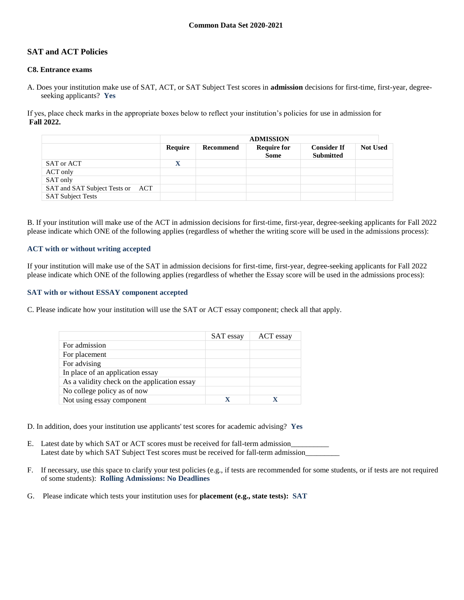## **SAT and ACT Policies**

#### **C8. Entrance exams**

A. Does your institution make use of SAT, ACT, or SAT Subject Test scores in **admission** decisions for first-time, first-year, degreeseeking applicants? **Yes**

If yes, place check marks in the appropriate boxes below to reflect your institution's policies for use in admission for **Fall 2022.**

|                                     |             | <b>ADMISSION</b> |                                   |                                        |                 |
|-------------------------------------|-------------|------------------|-----------------------------------|----------------------------------------|-----------------|
|                                     | Require     | Recommend        | <b>Require for</b><br><b>Some</b> | <b>Consider If</b><br><b>Submitted</b> | <b>Not Used</b> |
| SAT or ACT                          | $\mathbf X$ |                  |                                   |                                        |                 |
| ACT only                            |             |                  |                                   |                                        |                 |
| SAT only                            |             |                  |                                   |                                        |                 |
| SAT and SAT Subject Tests or<br>ACT |             |                  |                                   |                                        |                 |
| <b>SAT Subject Tests</b>            |             |                  |                                   |                                        |                 |

B. If your institution will make use of the ACT in admission decisions for first-time, first-year, degree-seeking applicants for Fall 2022 please indicate which ONE of the following applies (regardless of whether the writing score will be used in the admissions process):

#### **ACT with or without writing accepted**

If your institution will make use of the SAT in admission decisions for first-time, first-year, degree-seeking applicants for Fall 2022 please indicate which ONE of the following applies (regardless of whether the Essay score will be used in the admissions process):

#### **SAT with or without ESSAY component accepted**

C. Please indicate how your institution will use the SAT or ACT essay component; check all that apply.

|                                              | SAT essay | ACT essay |
|----------------------------------------------|-----------|-----------|
| For admission                                |           |           |
| For placement                                |           |           |
| For advising                                 |           |           |
| In place of an application essay             |           |           |
| As a validity check on the application essay |           |           |
| No college policy as of now                  |           |           |
| Not using essay component                    |           |           |

D. In addition, does your institution use applicants' test scores for academic advising? **Yes**

- E. Latest date by which SAT or ACT scores must be received for fall-term admission Latest date by which SAT Subject Test scores must be received for fall-term admission\_\_\_\_\_\_\_\_\_
- F. If necessary, use this space to clarify your test policies (e.g., if tests are recommended for some students, or if tests are not required of some students): **Rolling Admissions: No Deadlines**
- G. Please indicate which tests your institution uses for **placement (e.g., state tests): SAT**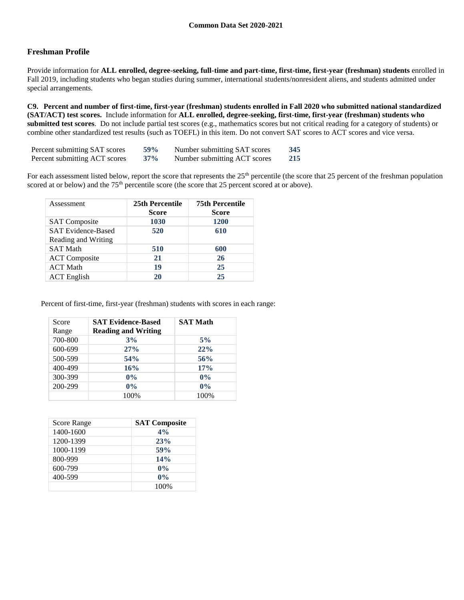## **Freshman Profile**

Provide information for **ALL enrolled, degree-seeking, full-time and part-time, first-time, first-year (freshman) students** enrolled in Fall 2019, including students who began studies during summer, international students/nonresident aliens, and students admitted under special arrangements.

**C9. Percent and number of first-time, first-year (freshman) students enrolled in Fall 2020 who submitted national standardized (SAT/ACT) test scores.** Include information for **ALL enrolled, degree-seeking, first-time, first-year (freshman) students who submitted test scores**. Do not include partial test scores (e.g., mathematics scores but not critical reading for a category of students) or combine other standardized test results (such as TOEFL) in this item. Do not convert SAT scores to ACT scores and vice versa.

| Percent submitting SAT scores | <b>59%</b> | Number submitting SAT scores | 345 |
|-------------------------------|------------|------------------------------|-----|
| Percent submitting ACT scores | $37\%$     | Number submitting ACT scores | 215 |

For each assessment listed below, report the score that represents the  $25<sup>th</sup>$  percentile (the score that 25 percent of the freshman population scored at or below) and the 75<sup>th</sup> percentile score (the score that 25 percent scored at or above).

| Assessment                                       | 25th Percentile<br><b>Score</b> | <b>75th Percentile</b><br>Score |
|--------------------------------------------------|---------------------------------|---------------------------------|
| <b>SAT</b> Composite                             | 1030                            | 1200                            |
| <b>SAT Evidence-Based</b><br>Reading and Writing | 520                             | 610                             |
| <b>SAT Math</b>                                  | 510                             | 600                             |
| <b>ACT</b> Composite                             | 21                              | 26                              |
| <b>ACT Math</b>                                  | 19                              | 25                              |
| <b>ACT</b> English                               | 20                              | 25                              |

Percent of first-time, first-year (freshman) students with scores in each range:

| Score   | <b>SAT Evidence-Based</b>  | <b>SAT Math</b> |
|---------|----------------------------|-----------------|
| Range   | <b>Reading and Writing</b> |                 |
| 700-800 | 3%                         | 5%              |
| 600-699 | 27%                        | 22%             |
| 500-599 | 54%                        | 56%             |
| 400-499 | 16%                        | 17%             |
| 300-399 | $0\%$                      | $0\%$           |
| 200-299 | $0\%$                      | $0\%$           |
|         | 100%                       | 100%            |

| Score Range | <b>SAT Composite</b> |
|-------------|----------------------|
| 1400-1600   | 4%                   |
| 1200-1399   | 23%                  |
| 1000-1199   | 59%                  |
| 800-999     | 14%                  |
| 600-799     | $0\%$                |
| 400-599     | $0\%$                |
|             | 100\%                |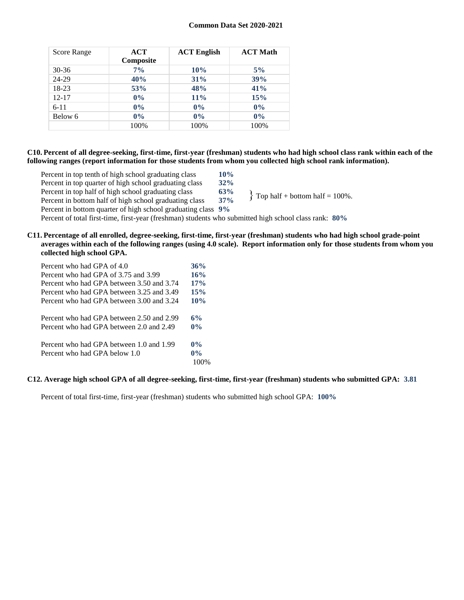| <b>Score Range</b> | ACT<br>Composite | <b>ACT English</b> | <b>ACT Math</b> |
|--------------------|------------------|--------------------|-----------------|
| 30-36              | $7\%$            | 10%                | 5%              |
| 24-29              | 40%              | 31%                | 39%             |
| 18-23              | 53%              | 48%                | 41%             |
| $12 - 17$          | $0\%$            | $11\%$             | 15%             |
| $6 - 11$           | $0\%$            | $0\%$              | $0\%$           |
| Below 6            | $0\%$            | $0\%$              | $0\%$           |
|                    | 100%             | 100%               | 100%            |

#### **C10. Percent of all degree-seeking, first-time, first-year (freshman) students who had high school class rank within each of the following ranges (report information for those students from whom you collected high school rank information).**

| Percent in top tenth of high school graduating class         | 10%    |                                     |
|--------------------------------------------------------------|--------|-------------------------------------|
| Percent in top quarter of high school graduating class       | $32\%$ |                                     |
| Percent in top half of high school graduating class          | 63%    | $\{$ Top half + bottom half = 100%. |
| Percent in bottom half of high school graduating class       | 37%    |                                     |
| Percent in bottom quarter of high school graduating class 9% |        |                                     |

Percent of total first-time, first-year (freshman) students who submitted high school class rank: **80%**

#### **C11. Percentage of all enrolled, degree-seeking, first-time, first-year (freshman) students who had high school grade-point averages within each of the following ranges (using 4.0 scale). Report information only for those students from whom you collected high school GPA.**

| Percent who had GPA of 4.0                | 36%   |
|-------------------------------------------|-------|
| Percent who had GPA of 3.75 and 3.99      | 16%   |
| Percent who had GPA between 3.50 and 3.74 | 17%   |
| Percent who had GPA between 3.25 and 3.49 | 15%   |
| Percent who had GPA between 3.00 and 3.24 | 10%   |
| Percent who had GPA between 2.50 and 2.99 | 6%    |
| Percent who had GPA between 2.0 and 2.49  | $0\%$ |
| Percent who had GPA between 1.0 and 1.99  | $0\%$ |
| Percent who had GPA below 1.0             | $0\%$ |
|                                           |       |

## **C12. Average high school GPA of all degree-seeking, first-time, first-year (freshman) students who submitted GPA: 3.81**

Percent of total first-time, first-year (freshman) students who submitted high school GPA: **100%**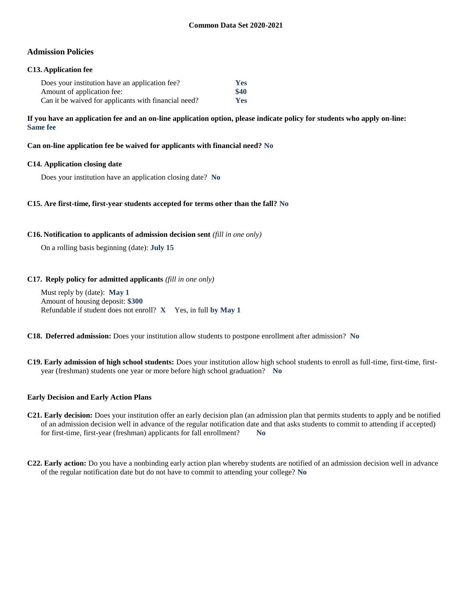## **Admission Policies**

### **C13. Application fee**

| Does your institution have an application fee?       | <b>Yes</b> |
|------------------------------------------------------|------------|
| Amount of application fee:                           | \$40       |
| Can it be waived for applicants with financial need? | <b>Yes</b> |

**If you have an application fee and an on-line application option, please indicate policy for students who apply on-line: Same fee**

**Can on-line application fee be waived for applicants with financial need? No**

#### **C14. Application closing date**

Does your institution have an application closing date? **No**

#### **C15. Are first-time, first-year students accepted for terms other than the fall? No**

#### **C16. Notification to applicants of admission decision sent** *(fill in one only)*

On a rolling basis beginning (date): **July 15**

#### **C17. Reply policy for admitted applicants** *(fill in one only)*

Must reply by (date): **May 1** Amount of housing deposit: **\$300** Refundable if student does not enroll? **X** Yes, in full **by May 1**

**C18. Deferred admission:** Does your institution allow students to postpone enrollment after admission? **No**

**C19. Early admission of high school students:** Does your institution allow high school students to enroll as full-time, first-time, firstyear (freshman) students one year or more before high school graduation? **No**

#### **Early Decision and Early Action Plans**

- **C21. Early decision:** Does your institution offer an early decision plan (an admission plan that permits students to apply and be notified of an admission decision well in advance of the regular notification date and that asks students to commit to attending if accepted) for first-time, first-year (freshman) applicants for fall enrollment? **No**
- **C22. Early action:** Do you have a nonbinding early action plan whereby students are notified of an admission decision well in advance of the regular notification date but do not have to commit to attending your college? **No**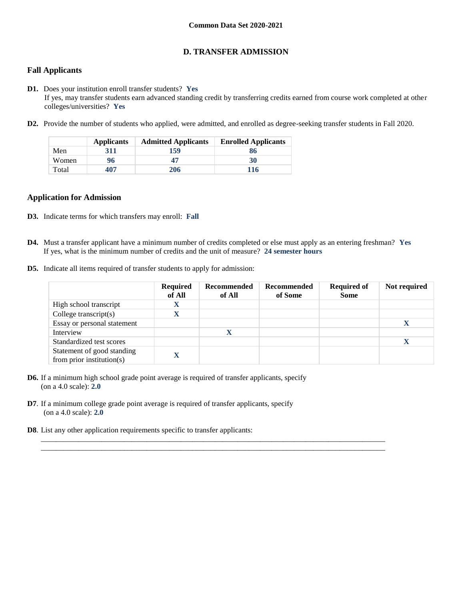## **D. TRANSFER ADMISSION**

## **Fall Applicants**

- **D1.** Does your institution enroll transfer students? **Yes** If yes, may transfer students earn advanced standing credit by transferring credits earned from course work completed at other colleges/universities? **Yes**
- **D2.** Provide the number of students who applied, were admitted, and enrolled as degree-seeking transfer students in Fall 2020.

|       | <b>Applicants</b> | <b>Admitted Applicants</b> | <b>Enrolled Applicants</b> |
|-------|-------------------|----------------------------|----------------------------|
| Men   | 311               | 159                        | 86                         |
| Women | 96                | 47                         | 30                         |
| Total | 407               | 206                        | 116                        |

#### **Application for Admission**

- **D3.** Indicate terms for which transfers may enroll: **Fall**
- **D4.** Must a transfer applicant have a minimum number of credits completed or else must apply as an entering freshman? **Yes** If yes, what is the minimum number of credits and the unit of measure? **24 semester hours**

 $\_$  ,  $\_$  ,  $\_$  ,  $\_$  ,  $\_$  ,  $\_$  ,  $\_$  ,  $\_$  ,  $\_$  ,  $\_$  ,  $\_$  ,  $\_$  ,  $\_$  ,  $\_$  ,  $\_$  ,  $\_$  ,  $\_$  ,  $\_$  ,  $\_$  ,  $\_$  ,  $\_$  ,  $\_$  ,  $\_$  ,  $\_$  ,  $\_$  ,  $\_$  ,  $\_$  ,  $\_$  ,  $\_$  ,  $\_$  ,  $\_$  ,  $\_$  ,  $\_$  ,  $\_$  ,  $\_$  ,  $\_$  ,  $\_$  , \_\_\_\_\_\_\_\_\_\_\_\_\_\_\_\_\_\_\_\_\_\_\_\_\_\_\_\_\_\_\_\_\_\_\_\_\_\_\_\_\_\_\_\_\_\_\_\_\_\_\_\_\_\_\_\_\_\_\_\_\_\_\_\_\_\_\_\_\_\_\_\_\_\_\_\_\_\_\_\_\_\_\_\_\_\_\_\_\_\_\_

**D5.** Indicate all items required of transfer students to apply for admission:

|                                                         | <b>Required</b><br>of All | Recommended<br>of All | Recommended<br>of Some | <b>Required of</b><br><b>Some</b> | Not required |
|---------------------------------------------------------|---------------------------|-----------------------|------------------------|-----------------------------------|--------------|
| High school transcript                                  | X                         |                       |                        |                                   |              |
| College transcript $(s)$                                |                           |                       |                        |                                   |              |
| Essay or personal statement                             |                           |                       |                        |                                   |              |
| Interview                                               |                           | X                     |                        |                                   |              |
| Standardized test scores                                |                           |                       |                        |                                   |              |
| Statement of good standing<br>from prior institution(s) |                           |                       |                        |                                   |              |

- **D6.** If a minimum high school grade point average is required of transfer applicants, specify (on a 4.0 scale): **2.0**
- **D7**. If a minimum college grade point average is required of transfer applicants, specify (on a 4.0 scale): **2.0**
- **D8**. List any other application requirements specific to transfer applicants: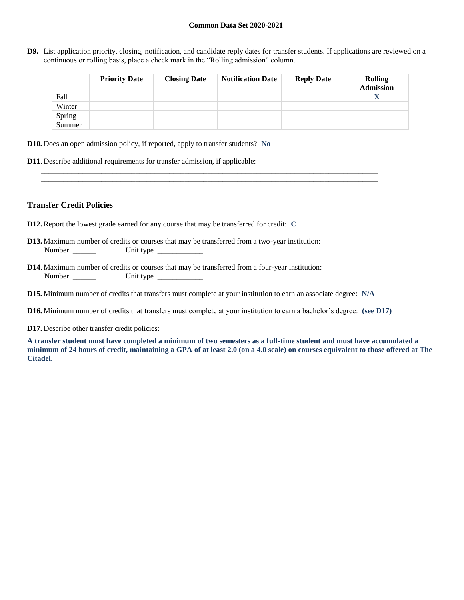**D9.** List application priority, closing, notification, and candidate reply dates for transfer students. If applications are reviewed on a continuous or rolling basis, place a check mark in the "Rolling admission" column.

|        | <b>Priority Date</b> | <b>Closing Date</b> | <b>Notification Date</b> | <b>Reply Date</b> | <b>Rolling</b><br><b>Admission</b> |
|--------|----------------------|---------------------|--------------------------|-------------------|------------------------------------|
| Fall   |                      |                     |                          |                   | X                                  |
| Winter |                      |                     |                          |                   |                                    |
| Spring |                      |                     |                          |                   |                                    |
| Summer |                      |                     |                          |                   |                                    |

- **D10.** Does an open admission policy, if reported, apply to transfer students? **No**
- **D11**. Describe additional requirements for transfer admission, if applicable:

#### **Transfer Credit Policies**

- **D12.** Report the lowest grade earned for any course that may be transferred for credit: **C**
- **D13.** Maximum number of credits or courses that may be transferred from a two-year institution: Number \_\_\_\_\_\_ Unit type \_\_\_\_\_\_\_\_\_\_\_\_
- **D14**. Maximum number of credits or courses that may be transferred from a four-year institution: Number Unit type
- **D15.** Minimum number of credits that transfers must complete at your institution to earn an associate degree: **N/A**
- **D16.** Minimum number of credits that transfers must complete at your institution to earn a bachelor's degree: **(see D17)**

\_\_\_\_\_\_\_\_\_\_\_\_\_\_\_\_\_\_\_\_\_\_\_\_\_\_\_\_\_\_\_\_\_\_\_\_\_\_\_\_\_\_\_\_\_\_\_\_\_\_\_\_\_\_\_\_\_\_\_\_\_\_\_\_\_\_\_\_\_\_\_\_\_\_\_\_\_\_\_\_\_\_\_\_\_\_\_\_\_ \_\_\_\_\_\_\_\_\_\_\_\_\_\_\_\_\_\_\_\_\_\_\_\_\_\_\_\_\_\_\_\_\_\_\_\_\_\_\_\_\_\_\_\_\_\_\_\_\_\_\_\_\_\_\_\_\_\_\_\_\_\_\_\_\_\_\_\_\_\_\_\_\_\_\_\_\_\_\_\_\_\_\_\_\_\_\_\_\_

**D17.** Describe other transfer credit policies:

**A transfer student must have completed a minimum of two semesters as a full-time student and must have accumulated a minimum of 24 hours of credit, maintaining a GPA of at least 2.0 (on a 4.0 scale) on courses equivalent to those offered at The Citadel.**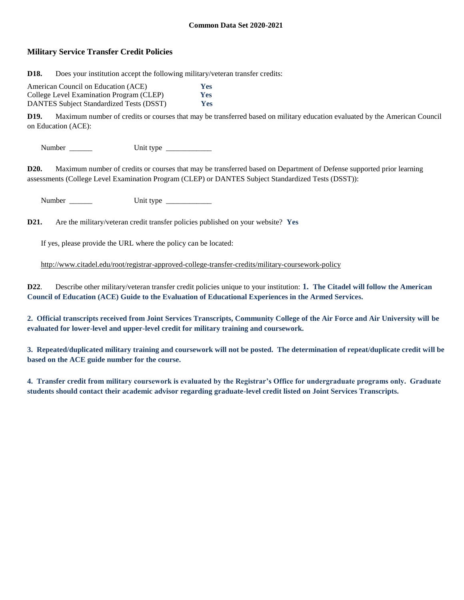## **Military Service Transfer Credit Policies**

**D18.** Does your institution accept the following military/veteran transfer credits:

| American Council on Education (ACE)             | Yes        |
|-------------------------------------------------|------------|
| College Level Examination Program (CLEP)        | <b>Yes</b> |
| <b>DANTES Subject Standardized Tests (DSST)</b> | <b>Yes</b> |

**D19.** Maximum number of credits or courses that may be transferred based on military education evaluated by the American Council on Education (ACE):

Number \_\_\_\_\_\_ Unit type \_\_\_\_\_\_\_\_\_\_\_\_

**D20.** Maximum number of credits or courses that may be transferred based on Department of Defense supported prior learning assessments (College Level Examination Program (CLEP) or DANTES Subject Standardized Tests (DSST)):

Number \_\_\_\_\_\_ Unit type \_\_\_\_\_\_\_\_\_\_\_\_

**D21.** Are the military/veteran credit transfer policies published on your website? **Yes**

If yes, please provide the URL where the policy can be located:

<http://www.citadel.edu/root/registrar-approved-college-transfer-credits/military-coursework-policy>

**D22**. Describe other military/veteran transfer credit policies unique to your institution: **1. The Citadel will follow the American Council of Education (ACE) Guide to the Evaluation of Educational Experiences in the Armed Services.**

**2. Official transcripts received from Joint Services Transcripts, Community College of the Air Force and Air University will be evaluated for lower-level and upper-level credit for military training and coursework.**

**3. Repeated/duplicated military training and coursework will not be posted. The determination of repeat/duplicate credit will be based on the ACE guide number for the course.**

**4. Transfer credit from military coursework is evaluated by the Registrar's Office for undergraduate programs only. Graduate students should contact their academic advisor regarding graduate-level credit listed on Joint Services Transcripts.**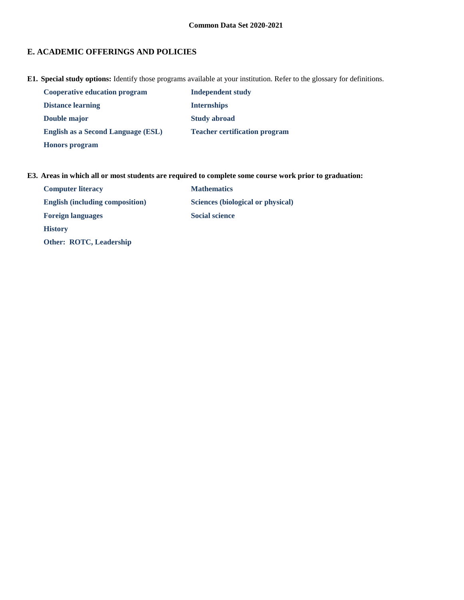# **E. ACADEMIC OFFERINGS AND POLICIES**

**E1. Special study options:** Identify those programs available at your institution. Refer to the glossary for definitions.

| <b>Cooperative education program</b>      | <b>Independent study</b>             |
|-------------------------------------------|--------------------------------------|
| <b>Distance learning</b>                  | <b>Internships</b>                   |
| Double major                              | <b>Study abroad</b>                  |
| <b>English as a Second Language (ESL)</b> | <b>Teacher certification program</b> |
| <b>Honors</b> program                     |                                      |

## **E3. Areas in which all or most students are required to complete some course work prior to graduation:**

| <b>Computer literacy</b>               | <b>Mathematics</b>                |
|----------------------------------------|-----------------------------------|
| <b>English (including composition)</b> | Sciences (biological or physical) |
| <b>Foreign languages</b>               | <b>Social science</b>             |
| <b>History</b>                         |                                   |
| <b>Other: ROTC, Leadership</b>         |                                   |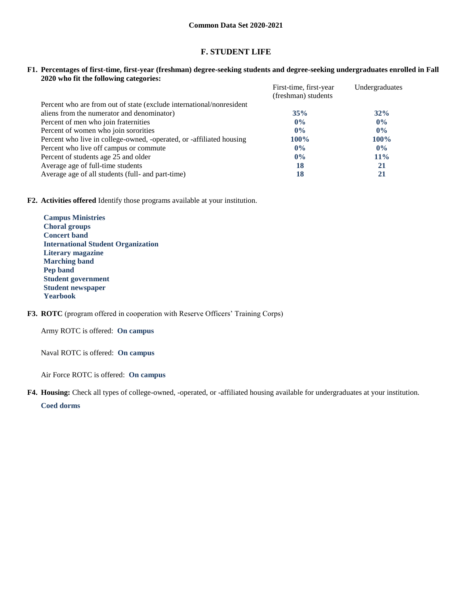## **F. STUDENT LIFE**

**F1. Percentages of first-time, first-year (freshman) degree-seeking students and degree-seeking undergraduates enrolled in Fall 2020 who fit the following categories:**

|                                                                      | First-time, first-year | Undergraduates |
|----------------------------------------------------------------------|------------------------|----------------|
|                                                                      | (freshman) students    |                |
| Percent who are from out of state (exclude international/nonresident |                        |                |
| aliens from the numerator and denominator)                           | 35%                    | 32%            |
| Percent of men who join fraternities                                 | $0\%$                  | $0\%$          |
| Percent of women who join sororities                                 | $0\%$                  | $0\%$          |
| Percent who live in college-owned, -operated, or -affiliated housing | $100\%$                | $100\%$        |
| Percent who live off campus or commute                               | $0\%$                  | $0\%$          |
| Percent of students age 25 and older                                 | $0\%$                  | $11\%$         |
| Average age of full-time students                                    | 18                     | 21             |
| Average age of all students (full- and part-time)                    | 18                     | 21             |

**F2. Activities offered** Identify those programs available at your institution.

**Campus Ministries Choral groups Concert band International Student Organization Literary magazine Marching band Pep band Student government Student newspaper Yearbook**

**F3. ROTC** (program offered in cooperation with Reserve Officers' Training Corps)

Army ROTC is offered: **On campus**

Naval ROTC is offered: **On campus**

Air Force ROTC is offered: **On campus**

**F4. Housing:** Check all types of college-owned, -operated, or -affiliated housing available for undergraduates at your institution.

**Coed dorms**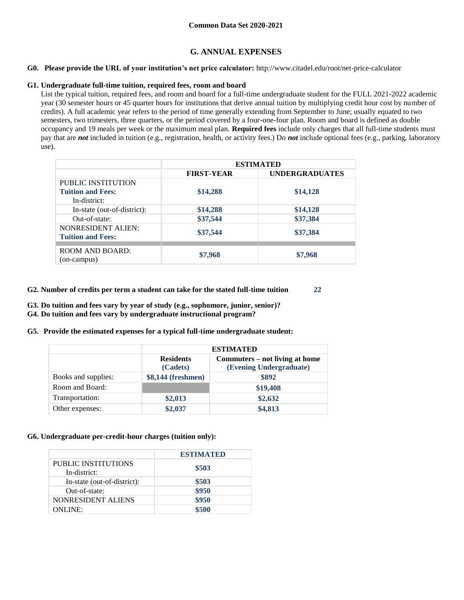## **G. ANNUAL EXPENSES**

#### **G0. Please provide the URL of your institution's net price calculator:** http://www.citadel.edu/root/net-price-calculator

#### **G1. Undergraduate full-time tuition, required fees, room and board**

List the typical tuition, required fees, and room and board for a full-time undergraduate student for the FULL 2021-2022 academic year (30 semester hours or 45 quarter hours for institutions that derive annual tuition by multiplying credit hour cost by number of credits). A full academic year refers to the period of time generally extending from September to June; usually equated to two semesters, two trimesters, three quarters, or the period covered by a four-one-four plan. Room and board is defined as double occupancy and 19 meals per week or the maximum meal plan. **Required fees** include only charges that all full-time students must pay that are *not* included in tuition (e.g., registration, health, or activity fees.) Do *not* include optional fees (e.g., parking, laboratory use).

|                             | <b>ESTIMATED</b>  |                       |  |  |
|-----------------------------|-------------------|-----------------------|--|--|
|                             | <b>FIRST-YEAR</b> | <b>UNDERGRADUATES</b> |  |  |
| PUBLIC INSTITUTION          |                   |                       |  |  |
| <b>Tuition and Fees:</b>    | \$14,288          | \$14,128              |  |  |
| In-district:                |                   |                       |  |  |
| In-state (out-of-district): | \$14,288          | \$14,128              |  |  |
| Out-of-state:               | \$37,544          | \$37,384              |  |  |
| <b>NONRESIDENT ALIEN:</b>   |                   |                       |  |  |
| <b>Tuition and Fees:</b>    | \$37,544          | \$37,384              |  |  |
|                             |                   |                       |  |  |
| <b>ROOM AND BOARD:</b>      | \$7,968           | \$7,968               |  |  |
| (on-campus)                 |                   |                       |  |  |

- **G2. Number of credits per term a student can take for the stated full-time tuition 22**
- **G3. Do tuition and fees vary by year of study (e.g., sophomore, junior, senior)?**
- **G4. Do tuition and fees vary by undergraduate instructional program?**
- **G5. Provide the estimated expenses for a typical full-time undergraduate student:**

|                     | <b>ESTIMATED</b>             |                                                           |  |  |
|---------------------|------------------------------|-----------------------------------------------------------|--|--|
|                     | <b>Residents</b><br>(Cadets) | Commuters – not living at home<br>(Evening Undergraduate) |  |  |
| Books and supplies: | \$8,144 (freshmen)           | \$892                                                     |  |  |
| Room and Board:     |                              | \$19,408                                                  |  |  |
| Transportation:     | \$2,013                      | \$2,632                                                   |  |  |
| Other expenses:     | \$2,037                      | \$4,813                                                   |  |  |

## **G6. Undergraduate per-credit-hour charges (tuition only):**

|                                     | <b>ESTIMATED</b> |
|-------------------------------------|------------------|
| PUBLIC INSTITUTIONS<br>In-district: | \$503            |
| In-state (out-of-district):         | \$503            |
| Out-of-state:                       | \$950            |
| NONRESIDENT ALIENS                  | \$950            |
| <b>ONLINE:</b>                      | \$500            |
|                                     |                  |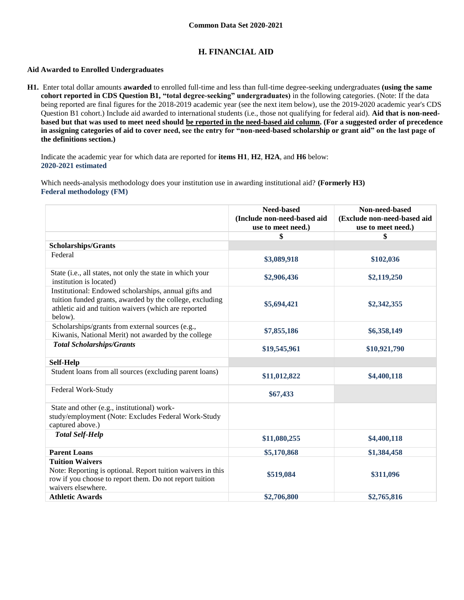## **H. FINANCIAL AID**

### **Aid Awarded to Enrolled Undergraduates**

**H1.** Enter total dollar amounts **awarded** to enrolled full-time and less than full-time degree-seeking undergraduates **(using the same cohort reported in CDS Question B1, "total degree-seeking" undergraduates)** in the following categories. (Note: If the data being reported are final figures for the 2018-2019 academic year (see the next item below), use the 2019-2020 academic year's CDS Question B1 cohort.) Include aid awarded to international students (i.e., those not qualifying for federal aid). **Aid that is non-needbased but that was used to meet need should be reported in the need-based aid column. (For a suggested order of precedence in assigning categories of aid to cover need, see the entry for "non-need-based scholarship or grant aid" on the last page of the definitions section.)**

Indicate the academic year for which data are reported for **items H1**, **H2**, **H2A**, and **H6** below: **2020-2021 estimated** 

Which needs-analysis methodology does your institution use in awarding institutional aid? **(Formerly H3) Federal methodology (FM)**

|                                                                                                                                                                                      | <b>Need-based</b><br>(Include non-need-based aid<br>use to meet need.) | Non-need-based<br>(Exclude non-need-based aid<br>use to meet need.) |
|--------------------------------------------------------------------------------------------------------------------------------------------------------------------------------------|------------------------------------------------------------------------|---------------------------------------------------------------------|
|                                                                                                                                                                                      | \$                                                                     | \$                                                                  |
| <b>Scholarships/Grants</b>                                                                                                                                                           |                                                                        |                                                                     |
| Federal                                                                                                                                                                              | \$3,089,918                                                            | \$102,036                                                           |
| State (i.e., all states, not only the state in which your<br>institution is located)                                                                                                 | \$2,906,436                                                            | \$2,119,250                                                         |
| Institutional: Endowed scholarships, annual gifts and<br>tuition funded grants, awarded by the college, excluding<br>athletic aid and tuition waivers (which are reported<br>below). | \$5,694,421                                                            | \$2,342,355                                                         |
| Scholarships/grants from external sources (e.g.,<br>Kiwanis, National Merit) not awarded by the college                                                                              | \$7,855,186                                                            | \$6,358,149                                                         |
| <b>Total Scholarships/Grants</b>                                                                                                                                                     | \$19,545,961                                                           | \$10,921,790                                                        |
| Self-Help                                                                                                                                                                            |                                                                        |                                                                     |
| Student loans from all sources (excluding parent loans)                                                                                                                              | \$11,012,822                                                           | \$4,400,118                                                         |
| Federal Work-Study                                                                                                                                                                   | \$67,433                                                               |                                                                     |
| State and other (e.g., institutional) work-<br>study/employment (Note: Excludes Federal Work-Study<br>captured above.)                                                               |                                                                        |                                                                     |
| <b>Total Self-Help</b>                                                                                                                                                               | \$11,080,255                                                           | \$4,400,118                                                         |
| <b>Parent Loans</b>                                                                                                                                                                  | \$5,170,868                                                            | \$1,384,458                                                         |
| <b>Tuition Waivers</b><br>Note: Reporting is optional. Report tuition waivers in this<br>row if you choose to report them. Do not report tuition<br>waivers elsewhere.               | \$519,084                                                              | \$311,096                                                           |
| <b>Athletic Awards</b>                                                                                                                                                               | \$2,706,800                                                            | \$2,765,816                                                         |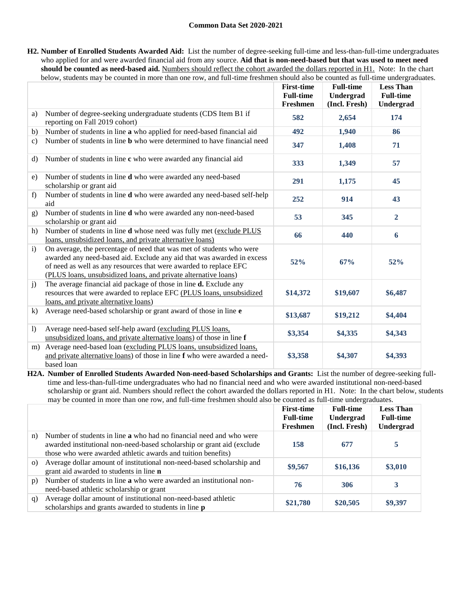**H2. Number of Enrolled Students Awarded Aid:** List the number of degree-seeking full-time and less-than-full-time undergraduates who applied for and were awarded financial aid from any source. **Aid that is non-need-based but that was used to meet need should be counted as need-based aid.** Numbers should reflect the cohort awarded the dollars reported in H1. Note: In the chart below, students may be counted in more than one row, and full-time freshmen should also be counted as full-time undergraduates.

|                  |                                                                                                                                                                                                                                                                                        | <b>First-time</b><br><b>Full-time</b><br>Freshmen | <b>Full-time</b><br>Undergrad<br>(Incl. Fresh) | <b>Less Than</b><br><b>Full-time</b><br>Undergrad |
|------------------|----------------------------------------------------------------------------------------------------------------------------------------------------------------------------------------------------------------------------------------------------------------------------------------|---------------------------------------------------|------------------------------------------------|---------------------------------------------------|
| a)               | Number of degree-seeking undergraduate students (CDS Item B1 if<br>reporting on Fall 2019 cohort)                                                                                                                                                                                      | 582                                               | 2,654                                          | 174                                               |
| b)               | Number of students in line a who applied for need-based financial aid                                                                                                                                                                                                                  | 492                                               | 1,940                                          | 86                                                |
| $\mathbf{c}$     | Number of students in line <b>b</b> who were determined to have financial need                                                                                                                                                                                                         | 347                                               | 1,408                                          | 71                                                |
| d)               | Number of students in line c who were awarded any financial aid                                                                                                                                                                                                                        | 333                                               | 1,349                                          | 57                                                |
| e)               | Number of students in line d who were awarded any need-based<br>scholarship or grant aid                                                                                                                                                                                               | 291                                               | 1,175                                          | 45                                                |
| f                | Number of students in line d who were awarded any need-based self-help<br>aid                                                                                                                                                                                                          | 252                                               | 914                                            | 43                                                |
| g)               | Number of students in line <b>d</b> who were awarded any non-need-based<br>scholarship or grant aid                                                                                                                                                                                    | 53                                                | 345                                            | $\overline{2}$                                    |
| h)               | Number of students in line <b>d</b> whose need was fully met (exclude PLUS<br>loans, unsubsidized loans, and private alternative loans)                                                                                                                                                | 66                                                | 440                                            | 6                                                 |
| $\mathbf{i}$     | On average, the percentage of need that was met of students who were<br>awarded any need-based aid. Exclude any aid that was awarded in excess<br>of need as well as any resources that were awarded to replace EFC<br>(PLUS loans, unsubsidized loans, and private alternative loans) | 52%                                               | 67%                                            | 52%                                               |
| $\mathbf{j}$     | The average financial aid package of those in line <b>d.</b> Exclude any<br>resources that were awarded to replace EFC (PLUS loans, unsubsidized<br>loans, and private alternative loans)                                                                                              | \$14,372                                          | \$19,607                                       | \$6,487                                           |
| k)               | Average need-based scholarship or grant award of those in line e                                                                                                                                                                                                                       | \$13,687                                          | \$19,212                                       | \$4,404                                           |
| $\left( \right)$ | Average need-based self-help award (excluding PLUS loans,<br>unsubsidized loans, and private alternative loans) of those in line f                                                                                                                                                     | \$3,354                                           | \$4,335                                        | \$4,343                                           |
| m)               | Average need-based loan (excluding PLUS loans, unsubsidized loans,<br>and private alternative loans) of those in line f who were awarded a need-<br>based loan                                                                                                                         | \$3,358                                           | \$4,307                                        | \$4,393                                           |

**H2A. Number of Enrolled Students Awarded Non-need-based Scholarships and Grants:** List the number of degree-seeking fulltime and less-than-full-time undergraduates who had no financial need and who were awarded institutional non-need-based scholarship or grant aid. Numbers should reflect the cohort awarded the dollars reported in H1. Note: In the chart below, students may be counted in more than one row, and full-time freshmen should also be counted as full-time undergraduates.

|          |                                                                                                                                                                                                                      | <b>First-time</b><br><b>Full-time</b><br>Freshmen | <b>Full-time</b><br>Undergrad<br>(Incl. Fresh) | <b>Less Than</b><br><b>Full-time</b><br>Undergrad |
|----------|----------------------------------------------------------------------------------------------------------------------------------------------------------------------------------------------------------------------|---------------------------------------------------|------------------------------------------------|---------------------------------------------------|
| n)       | Number of students in line <b>a</b> who had no financial need and who were<br>awarded institutional non-need-based scholarship or grant aid (exclude<br>those who were awarded athletic awards and tuition benefits) | 158                                               | 677                                            | 5                                                 |
| $\Omega$ | Average dollar amount of institutional non-need-based scholarship and<br>grant aid awarded to students in line n                                                                                                     | \$9,567                                           | \$16,136                                       | \$3,010                                           |
| p)       | Number of students in line a who were awarded an institutional non-<br>need-based athletic scholarship or grant                                                                                                      | 76                                                | 306                                            | 3                                                 |
| q)       | Average dollar amount of institutional non-need-based athletic<br>scholarships and grants awarded to students in line <b>p</b>                                                                                       | \$21,780                                          | \$20,505                                       | \$9,397                                           |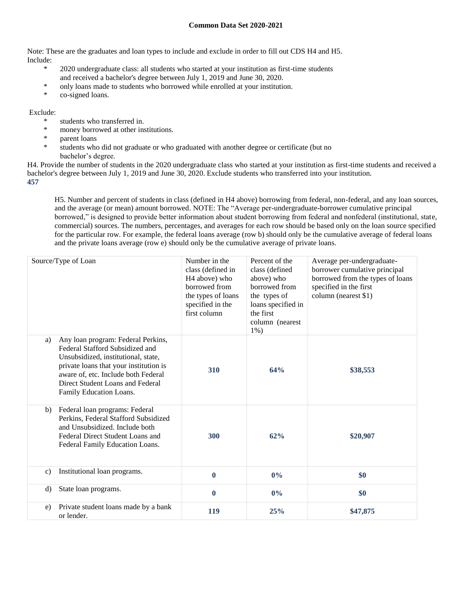Note: These are the graduates and loan types to include and exclude in order to fill out CDS H4 and H5. Include:

- \* 2020 undergraduate class: all students who started at your institution as first-time students and received a bachelor's degree between July 1, 2019 and June 30, 2020.
- \* only loans made to students who borrowed while enrolled at your institution.
- \* co-signed loans.

### Exclude:

- \* students who transferred in.
- \* money borrowed at other institutions.
- parent loans
- students who did not graduate or who graduated with another degree or certificate (but no bachelor's degree.

H4. Provide the number of students in the 2020 undergraduate class who started at your institution as first-time students and received a bachelor's degree between July 1, 2019 and June 30, 2020. Exclude students who transferred into your institution. **457**

H5. Number and percent of students in class (defined in H4 above) borrowing from federal, non-federal, and any loan sources, and the average (or mean) amount borrowed. NOTE: The "Average per-undergraduate-borrower cumulative principal borrowed," is designed to provide better information about student borrowing from federal and nonfederal (institutional, state, commercial) sources. The numbers, percentages, and averages for each row should be based only on the loan source specified for the particular row. For example, the federal loans average (row b) should only be the cumulative average of federal loans and the private loans average (row e) should only be the cumulative average of private loans.

|              | Source/Type of Loan                                                                                                                                                                                                                                          | Number in the<br>class (defined in<br>H <sub>4</sub> above) who<br>borrowed from<br>the types of loans<br>specified in the<br>first column | Percent of the<br>class (defined<br>above) who<br>borrowed from<br>the types of<br>loans specified in<br>the first<br>column (nearest<br>$1\%$ ) | Average per-undergraduate-<br>borrower cumulative principal<br>borrowed from the types of loans<br>specified in the first<br>column (nearest \$1) |
|--------------|--------------------------------------------------------------------------------------------------------------------------------------------------------------------------------------------------------------------------------------------------------------|--------------------------------------------------------------------------------------------------------------------------------------------|--------------------------------------------------------------------------------------------------------------------------------------------------|---------------------------------------------------------------------------------------------------------------------------------------------------|
| a)           | Any loan program: Federal Perkins,<br>Federal Stafford Subsidized and<br>Unsubsidized, institutional, state,<br>private loans that your institution is<br>aware of, etc. Include both Federal<br>Direct Student Loans and Federal<br>Family Education Loans. | 310                                                                                                                                        | 64%                                                                                                                                              | \$38,553                                                                                                                                          |
| b)           | Federal loan programs: Federal<br>Perkins, Federal Stafford Subsidized<br>and Unsubsidized. Include both<br>Federal Direct Student Loans and<br>Federal Family Education Loans.                                                                              | 300                                                                                                                                        | 62%                                                                                                                                              | \$20,907                                                                                                                                          |
| $\mathbf{c}$ | Institutional loan programs.                                                                                                                                                                                                                                 | $\bf{0}$                                                                                                                                   | $0\%$                                                                                                                                            | \$0                                                                                                                                               |
| d)           | State loan programs.                                                                                                                                                                                                                                         | $\mathbf{0}$                                                                                                                               | $0\%$                                                                                                                                            | \$0                                                                                                                                               |
| $\epsilon$ ) | Private student loans made by a bank<br>or lender.                                                                                                                                                                                                           | 119                                                                                                                                        | 25%                                                                                                                                              | \$47,875                                                                                                                                          |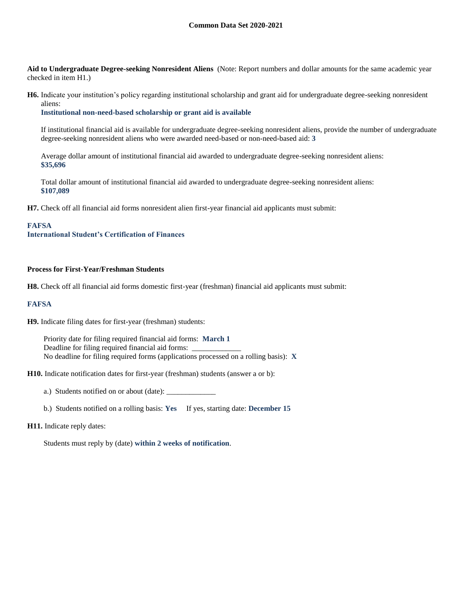**Aid to Undergraduate Degree-seeking Nonresident Aliens** (Note: Report numbers and dollar amounts for the same academic year checked in item H1.)

**H6.** Indicate your institution's policy regarding institutional scholarship and grant aid for undergraduate degree-seeking nonresident aliens:

**Institutional non-need-based scholarship or grant aid is available**

If institutional financial aid is available for undergraduate degree-seeking nonresident aliens, provide the number of undergraduate degree-seeking nonresident aliens who were awarded need-based or non-need-based aid: **3**

Average dollar amount of institutional financial aid awarded to undergraduate degree-seeking nonresident aliens: **\$35,696**

Total dollar amount of institutional financial aid awarded to undergraduate degree-seeking nonresident aliens: **\$107,089**

**H7.** Check off all financial aid forms nonresident alien first-year financial aid applicants must submit:

#### **FAFSA**

**International Student's Certification of Finances**

#### **Process for First-Year/Freshman Students**

**H8.** Check off all financial aid forms domestic first-year (freshman) financial aid applicants must submit:

#### **FAFSA**

**H9.** Indicate filing dates for first-year (freshman) students:

Priority date for filing required financial aid forms: **March 1** Deadline for filing required financial aid forms: No deadline for filing required forms (applications processed on a rolling basis): **X**

**H10.** Indicate notification dates for first-year (freshman) students (answer a or b):

a.) Students notified on or about (date): \_\_\_\_\_\_\_\_\_\_\_\_\_

b.) Students notified on a rolling basis: **Yes** If yes, starting date: **December 15**

#### **H11.** Indicate reply dates:

Students must reply by (date) **within 2 weeks of notification**.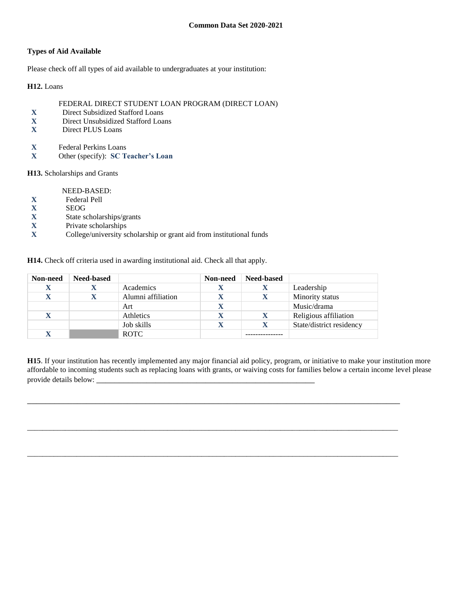## **Types of Aid Available**

Please check off all types of aid available to undergraduates at your institution:

**H12.** Loans

## FEDERAL DIRECT STUDENT LOAN PROGRAM (DIRECT LOAN)

- **X** Direct Subsidized Stafford Loans
- **X** Direct Unsubsidized Stafford Loans
- **X** Direct PLUS Loans
- **X** Federal Perkins Loans
- **X** Other (specify): **SC Teacher's Loan**

**H13.** Scholarships and Grants

NEED-BASED:

- **X** Federal Pell
- 
- **X** SEOG<br>**X** State so **X** State scholarships/grants
- **X** Private scholarships
- **X** College/university scholarship or grant aid from institutional funds

**H14.** Check off criteria used in awarding institutional aid. Check all that apply.

| Non-need    | <b>Need-based</b> |                    | Non-need | <b>Need-based</b> |                          |
|-------------|-------------------|--------------------|----------|-------------------|--------------------------|
| X           |                   | Academics          |          | л                 | Leadership               |
| X           |                   | Alumni affiliation |          |                   | Minority status          |
|             |                   | Art                |          |                   | Music/drama              |
| $\mathbf X$ |                   | Athletics          |          | X                 | Religious affiliation    |
|             |                   | Job skills         |          |                   | State/district residency |
| X           |                   | <b>ROTC</b>        |          |                   |                          |

**H15**. If your institution has recently implemented any major financial aid policy, program, or initiative to make your institution more affordable to incoming students such as replacing loans with grants, or waiving costs for families below a certain income level please provide details below: \_\_\_\_\_\_\_\_\_\_\_\_\_\_\_\_\_\_\_\_\_\_\_\_\_\_\_\_\_\_\_\_\_\_\_\_\_\_\_\_\_\_\_\_\_\_\_\_

\_\_\_\_\_\_\_\_\_\_\_\_\_\_\_\_\_\_\_\_\_\_\_\_\_\_\_\_\_\_\_\_\_\_\_\_\_\_\_\_\_\_\_\_\_\_\_\_\_\_\_\_\_\_\_\_\_\_\_\_\_\_\_\_\_\_\_\_\_\_\_\_\_\_\_\_\_\_\_\_\_\_

 $\overline{a_1}$  ,  $\overline{a_2}$  ,  $\overline{a_3}$  ,  $\overline{a_4}$  ,  $\overline{a_5}$  ,  $\overline{a_6}$  ,  $\overline{a_7}$  ,  $\overline{a_8}$  ,  $\overline{a_9}$  ,  $\overline{a_9}$  ,  $\overline{a_9}$  ,  $\overline{a_9}$  ,  $\overline{a_9}$  ,  $\overline{a_9}$  ,  $\overline{a_9}$  ,  $\overline{a_9}$  ,  $\overline{a_9}$  ,

\_\_\_\_\_\_\_\_\_\_\_\_\_\_\_\_\_\_\_\_\_\_\_\_\_\_\_\_\_\_\_\_\_\_\_\_\_\_\_\_\_\_\_\_\_\_\_\_\_\_\_\_\_\_\_\_\_\_\_\_\_\_\_\_\_\_\_\_\_\_\_\_\_\_\_\_\_\_\_\_\_\_\_\_\_\_\_\_\_\_\_\_\_\_\_\_\_\_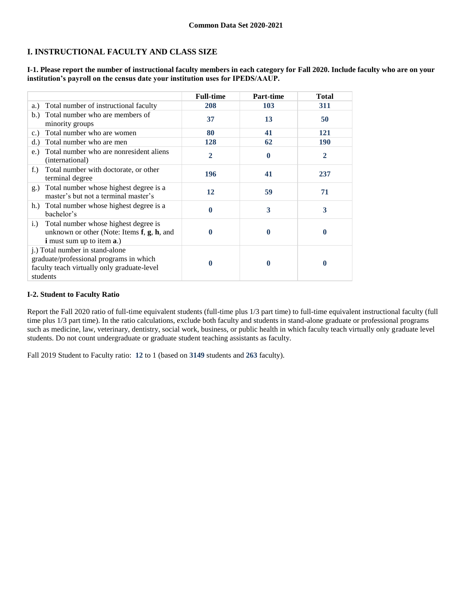# **I. INSTRUCTIONAL FACULTY AND CLASS SIZE**

**I-1. Please report the number of instructional faculty members in each category for Fall 2020. Include faculty who are on your institution's payroll on the census date your institution uses for IPEDS/AAUP.**

|                                                                                                                                               | <b>Full-time</b> | Part-time | <b>Total</b>     |
|-----------------------------------------------------------------------------------------------------------------------------------------------|------------------|-----------|------------------|
| Total number of instructional faculty<br>a.)                                                                                                  | 208              | 103       | 311              |
| Total number who are members of<br>b.<br>minority groups                                                                                      | 37               | 13        | 50               |
| Total number who are women<br>c.)                                                                                                             | 80               | 41        | 121              |
| Total number who are men<br>d.                                                                                                                | 128              | 62        | <b>190</b>       |
| Total number who are nonresident aliens<br>e.)<br>(international)                                                                             | $\overline{2}$   | 0         | $\overline{2}$   |
| Total number with doctorate, or other<br>$f_{\cdot}$ )<br>terminal degree                                                                     | 196              | 41        | 237              |
| Total number whose highest degree is a<br>g.)<br>master's but not a terminal master's                                                         | 12               | 59        | 71               |
| Total number whose highest degree is a<br>h.)<br>bachelor's                                                                                   | 0                | 3         | 3                |
| Total number whose highest degree is<br>i.<br>unknown or other (Note: Items $f$ , $g$ , $h$ , and<br><b>i</b> must sum up to item <b>a</b> .) | 0                | 0         | $\boldsymbol{0}$ |
| j.) Total number in stand-alone<br>graduate/professional programs in which<br>faculty teach virtually only graduate-level<br>students         | 0                | 0         | $\boldsymbol{0}$ |

## **I-2. Student to Faculty Ratio**

Report the Fall 2020 ratio of full-time equivalent students (full-time plus 1/3 part time) to full-time equivalent instructional faculty (full time plus 1/3 part time). In the ratio calculations, exclude both faculty and students in stand-alone graduate or professional programs such as medicine, law, veterinary, dentistry, social work, business, or public health in which faculty teach virtually only graduate level students. Do not count undergraduate or graduate student teaching assistants as faculty.

Fall 2019 Student to Faculty ratio: **12** to 1 (based on **3149** students and **263** faculty).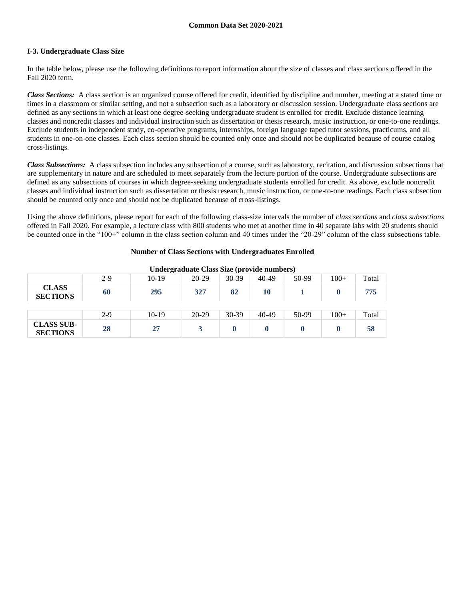## **I-3. Undergraduate Class Size**

In the table below, please use the following definitions to report information about the size of classes and class sections offered in the Fall 2020 term.

*Class Sections:* A class section is an organized course offered for credit, identified by discipline and number, meeting at a stated time or times in a classroom or similar setting, and not a subsection such as a laboratory or discussion session. Undergraduate class sections are defined as any sections in which at least one degree-seeking undergraduate student is enrolled for credit. Exclude distance learning classes and noncredit classes and individual instruction such as dissertation or thesis research, music instruction, or one-to-one readings. Exclude students in independent study, co-operative programs, internships, foreign language taped tutor sessions, practicums, and all students in one-on-one classes. Each class section should be counted only once and should not be duplicated because of course catalog cross-listings.

*Class Subsections:* A class subsection includes any subsection of a course, such as laboratory, recitation, and discussion subsections that are supplementary in nature and are scheduled to meet separately from the lecture portion of the course. Undergraduate subsections are defined as any subsections of courses in which degree-seeking undergraduate students enrolled for credit. As above, exclude noncredit classes and individual instruction such as dissertation or thesis research, music instruction, or one-to-one readings. Each class subsection should be counted only once and should not be duplicated because of cross-listings.

Using the above definitions, please report for each of the following class-size intervals the number of *class sections* and *class subsections* offered in Fall 2020. For example, a lecture class with 800 students who met at another time in 40 separate labs with 20 students should be counted once in the "100+" column in the class section column and 40 times under the "20-29" column of the class subsections table.

## **Number of Class Sections with Undergraduates Enrolled**

| Under graduate Class Size (provide numbers) |       |         |           |         |       |       |        |       |
|---------------------------------------------|-------|---------|-----------|---------|-------|-------|--------|-------|
|                                             | $2-9$ | $10-19$ | $20-29$   | $30-39$ | 40-49 | 50-99 | $100+$ | Total |
| <b>CLASS</b><br><b>SECTIONS</b>             | 60    | 295     | 327       | 82      | 10    |       |        | 775   |
|                                             |       |         |           |         |       |       |        |       |
|                                             | $2-9$ | $10-19$ | $20 - 29$ | 30-39   | 40-49 | 50-99 | $100+$ | Total |
| <b>CLASS SUB-</b><br><b>SECTIONS</b>        | 28    | 27      |           |         |       |       |        | 58    |

**Undergraduate Class Size (provide numbers)**